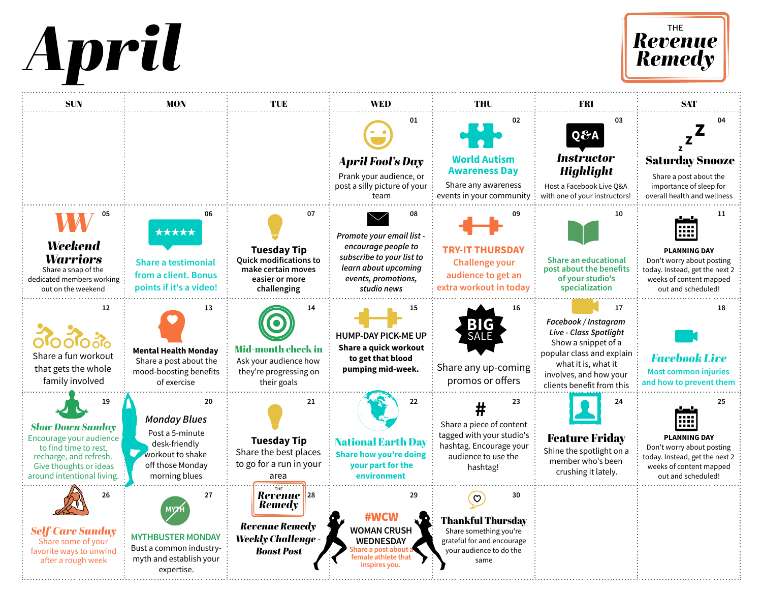



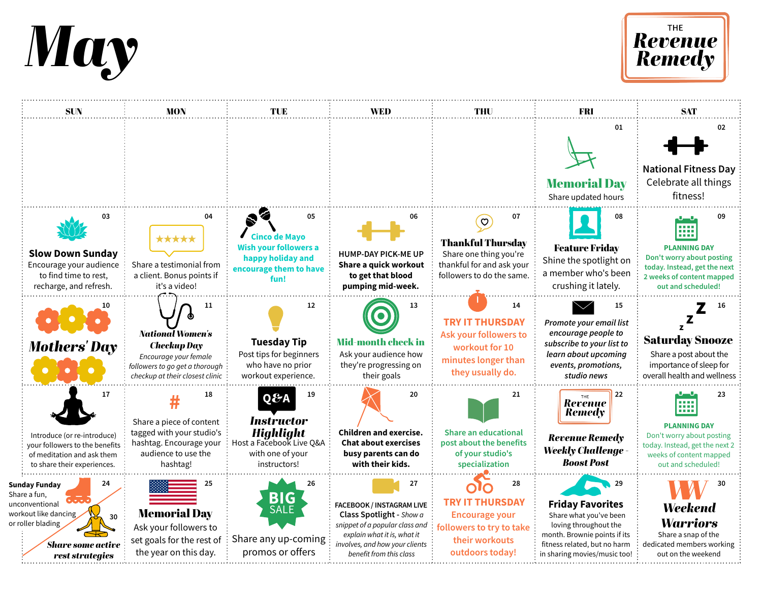



| <b>SUN</b>                                                                                                                                              | MON                                                                                                                                               | TUE                                                                                                                | WED                                                                                                                                                                                              | THU                                                                                                                            | FRI                                                                                                                                                                              | <b>SAT</b>                                                                                                                                                         |
|---------------------------------------------------------------------------------------------------------------------------------------------------------|---------------------------------------------------------------------------------------------------------------------------------------------------|--------------------------------------------------------------------------------------------------------------------|--------------------------------------------------------------------------------------------------------------------------------------------------------------------------------------------------|--------------------------------------------------------------------------------------------------------------------------------|----------------------------------------------------------------------------------------------------------------------------------------------------------------------------------|--------------------------------------------------------------------------------------------------------------------------------------------------------------------|
|                                                                                                                                                         |                                                                                                                                                   |                                                                                                                    |                                                                                                                                                                                                  |                                                                                                                                | 01<br><b>Memorial Day</b><br>Share updated hours                                                                                                                                 | 02<br><b>National Fitness Day</b><br>Celebrate all things<br>fitness!                                                                                              |
| 03<br><b>Slow Down Sunday</b><br>Encourage your audience<br>to find time to rest,<br>recharge, and refresh.                                             | 04<br>*****<br>Share a testimonial from<br>a client. Bonus points if<br>it's a video!                                                             | 05<br><b>Cinco de Mayo</b><br><b>Wish your followers a</b><br>happy holiday and<br>encourage them to have<br>fun!  | 06<br><b>HUMP-DAY PICK-ME UP</b><br>Share a quick workout<br>to get that blood<br>pumping mid-week.                                                                                              | 07<br>$\sigma$<br><b>Thankful Thursday</b><br>Share one thing you're<br>thankful for and ask your<br>followers to do the same. | 08<br><b>Feature Friday</b><br>Shine the spotlight on<br>a member who's been<br>crushing it lately.                                                                              | 09<br>.<br>.<br><b>BREE</b><br><b>PLANNING DAY</b><br>Don't worry about posting<br>today. Instead, get the next<br>2 weeks of content mapped<br>out and scheduled! |
| <b>Mothers' Day</b>                                                                                                                                     | 11<br><b>National Women's</b><br><b>Checkup Day</b><br>Encourage your female<br>followers to go get a thorough<br>checkup at their closest clinic | 12<br><b>Tuesday Tip</b><br>Post tips for beginners<br>who have no prior<br>workout experience.                    | 13<br><b>Mid-month check in</b><br>Ask your audience how<br>they're progressing on<br>their goals                                                                                                | 14<br><b>TRY IT THURSDAY</b><br>Ask your followers to<br>workout for 10<br>minutes longer than<br>they usually do.             | 15<br>Promote your email list<br>encourage people to<br>subscribe to your list to<br>learn about upcoming<br>events, promotions,<br>studio news                                  | 16<br><b>Saturday Snooze</b><br>Share a post about the<br>importance of sleep for<br>overall health and wellness                                                   |
| 17<br>Introduce (or re-introduce)<br>your followers to the benefits<br>of meditation and ask them<br>to share their experiences.                        | 18<br>Share a piece of content<br>tagged with your studio's<br>hashtag. Encourage your<br>audience to use the<br>hashtag!                         | 19<br>Q&A<br><b>Instructor</b><br><b>Highlight</b><br>Host a Facebook Live Q&A<br>with one of your<br>instructors! | 20<br><b>Children and exercise.</b><br><b>Chat about exercises</b><br>busy parents can do<br>with their kids.                                                                                    | 21<br><b>Share an educational</b><br>post about the benefits<br>of your studio's<br>specialization                             | 22<br><b>Revenue</b><br>Remedy<br><b>Revenue Remedy</b><br><b>Weekly Challenge -</b><br><b>Boost Post</b>                                                                        | 23<br>88 B B<br><b>PLANNING DAY</b><br>Don't worry about posting<br>today. Instead, get the next 2<br>weeks of content mapped<br>out and scheduled!                |
| 24<br><b>Sunday Funday</b><br>Share a fun,<br>unconventional<br>workout like dancing<br>30<br>or roller blading<br>Share some active<br>rest strategies | 25<br><b>Memorial Day</b><br>Ask your followers to<br>set goals for the rest of<br>the year on this day.                                          | 26<br>BIG<br>SALE<br>Share any up-coming<br>promos or offers                                                       | 27<br><b>FACEBOOK / INSTAGRAM LIVE</b><br>Class Spotlight - Show a<br>snippet of a popular class and<br>explain what it is, what it<br>involves, and how your clients<br>benefit from this class | 28<br><b>TRY IT THURSDAY</b><br><b>Encourage your</b><br>followers to try to take<br>their workouts<br>outdoors today!         | 29<br><b>Friday Favorites</b><br>Share what you've been<br>loving throughout the<br>month. Brownie points if its<br>fitness related, but no harm<br>in sharing movies/music too! | 30<br><b>Weekend</b><br><b>Warriors</b><br>Share a snap of the<br>dedicated members working<br>out on the weekend                                                  |